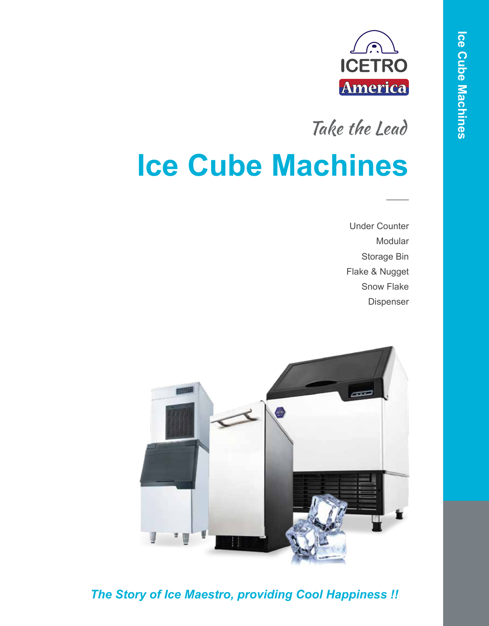

Take the Lead

# **Ice Cube Machines**

Under Counter Modular Storage Bin Flake & Nugget Snow Flake Dispenser



*The Story of Ice Maestro, providing Cool Happiness !!*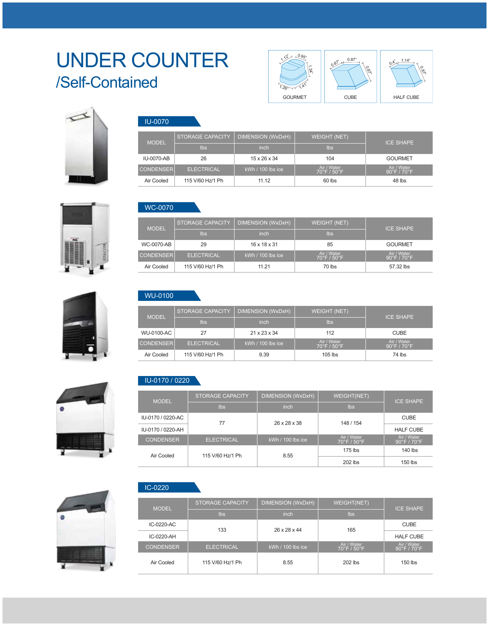### UNDER COUNTER /Self-Contained



ICE SHAPE

GOURMET Air / Water 90°F / 70°F

48 lbs

ICE SHAPE

CUBE Air / Water 90°F / 70°F

74 lbs

60 lbs

105 lbs

Air / Water 70°F / 50°F

112

WEIGHT (NET)

104 Air / Water 70°F / 50°F







#### WC-0070

WU-0100

MODEL

 $IU-0070-AB$  26 15 x 26 x 34

CONDENSER ELECTRICAL | kWh / 100 lbs ice

STORAGE CAPACITY | DIMENSION (WxDxH)

Air Cooled 115 V/60 Hz/1 Ph 11.12

WU-0100-AC 27 21 x 23 x 34

CONDENSER ELECTRICAL | kWh / 100 lbs ice

STORAGE CAPACITY  $\mid$  DIMENSION (WxDxH)

Air Cooled 115 V/60 Hz/1 Ph 9.39

MODEL

IU-0070

| <b>MODEL</b>     | STORAGE CAPACITY  | DIMENSION (WxDxH)        | <b>WEIGHT (NET)</b>                            | <b>ICE SHAPE</b>                                |
|------------------|-------------------|--------------------------|------------------------------------------------|-------------------------------------------------|
|                  | <b>lbs</b>        | inch                     | lbs                                            |                                                 |
| WC-0070-AB       | 29                | $16 \times 18 \times 31$ | 85                                             | <b>GOURMET</b>                                  |
| <b>CONDENSER</b> | <b>ELECTRICAL</b> | $kWh / 100$ lbs ice      | Air / Water<br>$70^{\circ}$ F / $50^{\circ}$ F | Air / Water<br>$90^{\circ}$ F / 70 $^{\circ}$ F |
| Air Cooled       | 115 V/60 Hz/1 Ph  | 11.21                    | 70 lbs                                         | 57.32 lbs                                       |





### IU-0170 / 0220

| <b>MODEL</b>      | <b>STORAGE CAPACITY</b> | DIMENSION (WxDxH)   | <b>WEIGHT(NET)</b>                             | <b>ICE SHAPE</b>                                |
|-------------------|-------------------------|---------------------|------------------------------------------------|-------------------------------------------------|
|                   | lbs                     | <i>inch</i>         | <b>lbs</b>                                     |                                                 |
| IU-0170 / 0220-AC | 77                      | 26 x 28 x 38        | 148 / 154                                      | <b>CUBE</b>                                     |
| IU-0170 / 0220-AH |                         |                     |                                                | <b>HALF CUBE</b>                                |
| <b>CONDENSER</b>  | <b>ELECTRICAL</b>       | $kWh / 100$ lbs ice | Air / Water<br>$70^{\circ}$ F / $50^{\circ}$ F | Air / Water<br>$90^{\circ}$ F / 70 $^{\circ}$ F |
| Air Cooled        | 115 V/60 Hz/1 Ph        | 8.55                | $175$ lbs                                      | $140$ lbs                                       |
|                   |                         | $202$ lbs           | $150$ lbs                                      |                                                 |



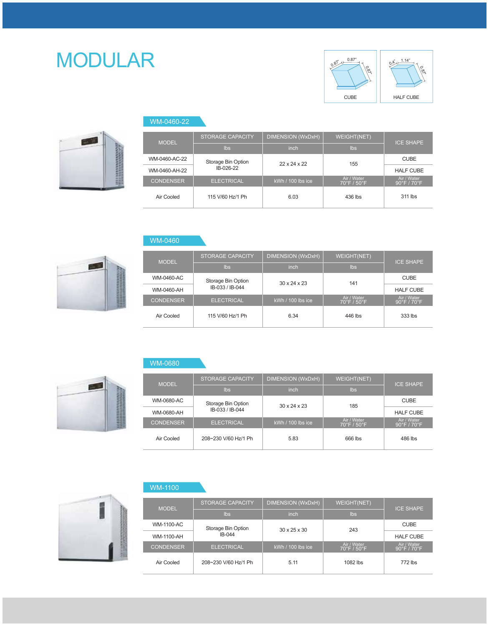## MODULAR s





| WM-0460-22       |                         |                     |                                                |                                                 |
|------------------|-------------------------|---------------------|------------------------------------------------|-------------------------------------------------|
| <b>MODEL</b>     | <b>STORAGE CAPACITY</b> | DIMENSION (WxDxH)   | WEIGHT(NET)                                    | <b>ICE SHAPE</b>                                |
|                  | <b>lbs</b>              | inch                | <b>lbs</b>                                     |                                                 |
| WM-0460-AC-22    | Storage Bin Option      | 22x24x22            | 155                                            | <b>CUBE</b>                                     |
| WM-0460-AH-22    | IB-026-22               |                     |                                                | <b>HALF CUBE</b>                                |
| <b>CONDENSER</b> | <b>ELECTRICAL</b>       | $KWh / 100$ lbs ice | Air / Water<br>$70^{\circ}$ F / $50^{\circ}$ F | Air / Water<br>$90^{\circ}$ F / 70 $^{\circ}$ F |
| Air Cooled       | 115 V/60 Hz/1 Ph        | 6.03                | 436 lbs                                        | 311 lbs                                         |



| <b>MODEL</b>     | <b>STORAGE CAPACITY</b> | DIMENSION (WxDxH)        | <b>WEIGHT(NET)</b>                             | <b>ICE SHAPE</b>                                |
|------------------|-------------------------|--------------------------|------------------------------------------------|-------------------------------------------------|
|                  | <b>lbs</b>              | inch                     | Ibs                                            |                                                 |
| WM-0460-AC       | Storage Bin Option      | $30 \times 24 \times 23$ | 141                                            | <b>CUBE</b>                                     |
| WM-0460-AH       | IB-033 / IB-044         |                          |                                                | <b>HALF CUBE</b>                                |
| <b>CONDENSER</b> | <b>ELECTRICAL</b>       | $kWh / 100$ lbs ice      | Air / Water<br>$70^{\circ}$ F / $50^{\circ}$ F | Air / Water<br>$90^{\circ}$ F / 70 $^{\circ}$ F |
| Air Cooled       | 115 V/60 Hz/1 Ph        | 6.34                     | 446 lbs                                        | 333 lbs                                         |



WM-0460

| <b>MODEL</b>      | <b>STORAGE CAPACITY</b> | <b>DIMENSION (WxDxH)</b> | WEIGHT(NET)                                    | <b>ICE SHAPE</b>                                |
|-------------------|-------------------------|--------------------------|------------------------------------------------|-------------------------------------------------|
|                   | lbs                     | inch                     | lbs                                            |                                                 |
| <b>WM-0680-AC</b> | Storage Bin Option      | $30 \times 24 \times 23$ | 185                                            | <b>CUBE</b>                                     |
| WM-0680-AH        | IB-033 / IB-044         |                          |                                                | <b>HALF CUBE</b>                                |
| <b>CONDENSER</b>  | <b>ELECTRICAL</b>       | $KWh / 100$ lbs ice      | Air / Water<br>$70^{\circ}$ F / $50^{\circ}$ F | Air / Water<br>$90^{\circ}$ F / 70 $^{\circ}$ F |
| Air Cooled        | 208~230 V/60 Hz/1 Ph    | 5.83                     | 666 lbs                                        | 486 lbs                                         |



### WM-1100

| <b>MODEL</b>     | <b>STORAGE CAPACITY</b> | DIMENSION (WxDxH)        | WEIGHT(NET)                                    | <b>ICE SHAPE</b>                                |
|------------------|-------------------------|--------------------------|------------------------------------------------|-------------------------------------------------|
|                  | lbs                     | inch                     | <b>lbs</b>                                     |                                                 |
| WM-1100-AC       | Storage Bin Option      | $30 \times 25 \times 30$ | 243                                            | <b>CUBE</b>                                     |
| WM-1100-AH       | $IB-044$                |                          |                                                | <b>HALF CUBE</b>                                |
| <b>CONDENSER</b> | <b>ELECTRICAL</b>       | $kWh / 100$ lbs ice      | Air / Water<br>$70^{\circ}$ F / $50^{\circ}$ F | Air / Water<br>$90^{\circ}$ F / 70 $^{\circ}$ F |
| Air Cooled       | 208~230 V/60 Hz/1 Ph    | 5.11                     | 1082 lbs                                       | 772 lbs                                         |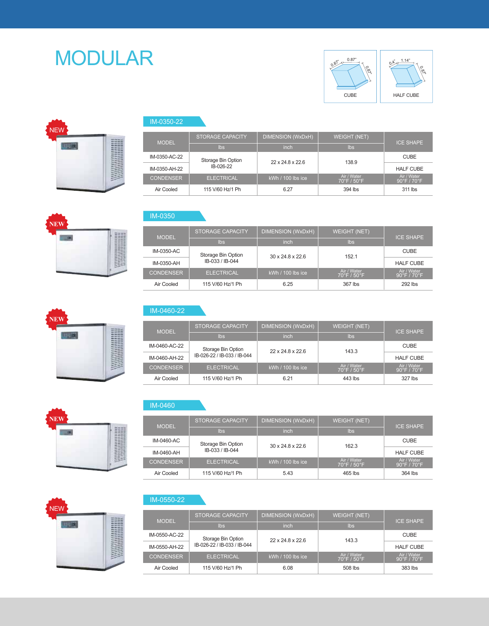### MODULAR SERVICE SUPER







| IM-0350-22 |  |
|------------|--|
|            |  |

| <b>MODEL</b>     | <b>STORAGE CAPACITY</b> | <b>DIMENSION (WxDxH)</b> | <b>WEIGHT (NET)</b>                            | <b>ICE SHAPE</b>                                |
|------------------|-------------------------|--------------------------|------------------------------------------------|-------------------------------------------------|
|                  | lbs                     | inch                     | <b>lbs</b>                                     |                                                 |
| IM-0350-AC-22    | Storage Bin Option      | 22 x 24.8 x 22.6         | 138.9                                          | <b>CUBE</b>                                     |
| IM-0350-AH-22    | IB-026-22               |                          |                                                | <b>HALF CUBE</b>                                |
| <b>CONDENSER</b> | <b>ELECTRICAL</b>       | kWh / 100 lbs ice        | Air / Water<br>$70^{\circ}$ F / $50^{\circ}$ F | Air / Water<br>$90^{\circ}$ F / 70 $^{\circ}$ F |
| Air Cooled       | 115 V/60 Hz/1 Ph        | 6.27                     | 394 lbs                                        | 311 lbs                                         |

IM-0350

| <b>MODEL</b>     | <b>STORAGE CAPACITY</b> | DIMENSION (WxDxH)            | <b>WEIGHT (NET)</b>                            | <b>ICE SHAPE</b>                                |
|------------------|-------------------------|------------------------------|------------------------------------------------|-------------------------------------------------|
|                  | $\mathsf{lbs}$          | inch                         | Ibs                                            |                                                 |
| IM-0350-AC       | Storage Bin Option      | $30 \times 24.8 \times 22.6$ | 152.1                                          | <b>CUBE</b>                                     |
| IM-0350-AH       | IB-033 / IB-044         |                              |                                                | <b>HALF CUBE</b>                                |
| <b>CONDENSER</b> | <b>ELECTRICAL</b>       | $KWh / 100$ lbs ice          | Air / Water<br>$70^{\circ}$ F / $50^{\circ}$ F | Air / Water<br>$90^{\circ}$ F / 70 $^{\circ}$ F |
| Air Cooled       | 115 V/60 Hz/1 Ph        | 6.25                         | 367 lbs                                        | 292 lbs                                         |



**NEW**

**TLM** 

### IM-0460-22

| <b>MODEL</b>     | <b>STORAGE CAPACITY</b>     | DIMENSION (WxDxH)            | <b>WEIGHT (NET)</b>                            | <b>ICE SHAPE</b>                                |
|------------------|-----------------------------|------------------------------|------------------------------------------------|-------------------------------------------------|
|                  | lbs                         | inch                         | lbs                                            |                                                 |
| IM-0460-AC-22    | Storage Bin Option          | $22 \times 24.8 \times 22.6$ | 143.3                                          | <b>CUBE</b>                                     |
| IM-0460-AH-22    | IB-026-22 / IB-033 / IB-044 |                              |                                                | <b>HALF CUBE</b>                                |
| <b>CONDENSER</b> | <b>ELECTRICAL</b>           | $KWh / 100$ lbs ice          | Air / Water<br>$70^{\circ}$ F / $50^{\circ}$ F | Air / Water<br>$90^{\circ}$ F / 70 $^{\circ}$ F |
| Air Cooled       | 115 V/60 Hz/1 Ph            | 6.21                         | 443 lbs                                        | 327 lbs                                         |



| <b>MODEL</b>     | <b>STORAGE CAPACITY</b> | <b>DIMENSION (WxDxH)</b>     | <b>WEIGHT (NET)</b>                            | <b>ICE SHAPE</b>                                |  |
|------------------|-------------------------|------------------------------|------------------------------------------------|-------------------------------------------------|--|
|                  | $\mathsf{lbs}$          | inch                         | Ibs                                            |                                                 |  |
| IM-0460-AC       | Storage Bin Option      | $30 \times 24.8 \times 22.6$ | 162.3                                          | <b>CUBE</b>                                     |  |
| IM-0460-AH       | IB-033 / IB-044         |                              |                                                | <b>HALF CUBE</b>                                |  |
| <b>CONDENSER</b> | <b>ELECTRICAL</b>       | $kWh / 100$ lbs ice          | Air / Water<br>$70^{\circ}$ F / $50^{\circ}$ F | Air / Water<br>$90^{\circ}$ F / 70 $^{\circ}$ F |  |
| Air Cooled       | 115 V/60 Hz/1 Ph        | 5.43                         | 465 lbs                                        | 364 lbs                                         |  |



#### IM-0550-22

| <b>MODEL</b>     | <b>STORAGE CAPACITY</b>     | DIMENSION (WxDxH)            | <b>WEIGHT (NET)</b>                             | <b>ICE SHAPE</b>             |  |
|------------------|-----------------------------|------------------------------|-------------------------------------------------|------------------------------|--|
|                  | lbs                         | inch                         | lbs                                             |                              |  |
| IM-0550-AC-22    | Storage Bin Option          | $22 \times 24.8 \times 22.6$ | 143.3                                           | <b>CUBE</b>                  |  |
| IM-0550-AH-22    | IB-026-22 / IB-033 / IB-044 |                              |                                                 | <b>HALF CUBE</b>             |  |
| <b>CONDENSER</b> | <b>ELECTRICAL</b>           | $kWh / 100$ lbs ice          | Air / Water<br>$70^{\circ}$ F / 50 $^{\circ}$ F | Air / Water<br>⊦90°F / 70°F' |  |
| Air Cooled       | 115 V/60 Hz/1 Ph            | 6.08                         | 508 lbs                                         | 383 lbs                      |  |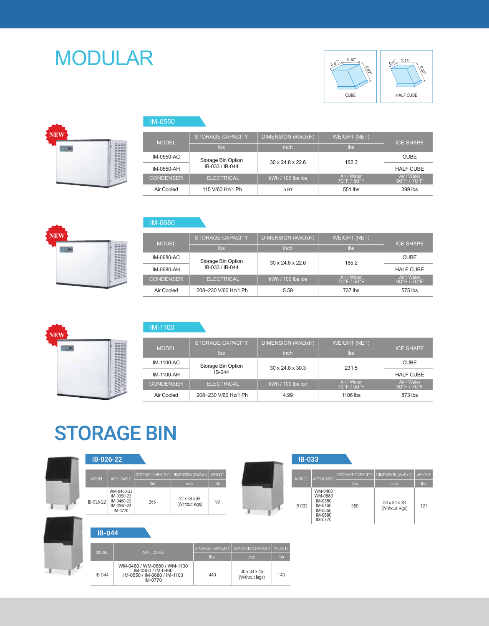### MODULAR RESERVE THE SET





| <b>MODEL</b>     | <b>STORAGE CAPACITY</b> | DIMENSION (WxDxH)            | <b>WEIGHT (NET)</b>                            | <b>ICE SHAPE</b>                                |  |
|------------------|-------------------------|------------------------------|------------------------------------------------|-------------------------------------------------|--|
|                  | lbs                     | inch                         | Ibs                                            |                                                 |  |
| IM-0550-AC       | Storage Bin Option      | $30 \times 24.8 \times 22.6$ | 162.3                                          | <b>CUBE</b>                                     |  |
| IM-0550-AH       | IB-033 / IB-044         |                              |                                                | <b>HALF CUBE</b>                                |  |
| <b>CONDENSER</b> | <b>ELECTRICAL</b>       | $kWh / 100$ lbs ice          | Air / Water<br>$70^{\circ}$ F / $50^{\circ}$ F | Air / Water<br>$90^{\circ}$ F / 70 $^{\circ}$ F |  |
| Air Cooled       | 115 V/60 Hz/1 Ph        | 5.91                         | 551 lbs                                        | 399 lbs                                         |  |



#### IM-0680

IM-0550

| <b>MODEL</b>     | <b>STORAGE CAPACITY</b> | <b>DIMENSION (WxDxH)</b>     | <b>WEIGHT (NET)</b>                            | <b>ICE SHAPE</b>           |  |
|------------------|-------------------------|------------------------------|------------------------------------------------|----------------------------|--|
|                  | lbs                     | inch                         | lbs.                                           |                            |  |
| IM-0680-AC       | Storage Bin Option      | $30 \times 24.8 \times 22.6$ | 185.2                                          | <b>CUBE</b>                |  |
| IM-0680-AH       | IB-033 / IB-044         |                              |                                                | <b>HALF CUBE</b>           |  |
| <b>CONDENSER</b> | <b>ELECTRICAL</b>       | $kWh / 100$ lbs ice          | Air / Water<br>$70^{\circ}$ F / $50^{\circ}$ F | Air / Water<br>90°F / 70°F |  |
| Air Cooled       | 208~230 V/60 Hz/1 Ph    | 5.59                         | 737 lbs                                        | 575 lbs                    |  |

**NEW THE** 

#### IM-1100

| <b>MODEL</b>     | <b>STORAGE CAPACITY</b> | DIMENSION (WxDxH)            | <b>WEIGHT (NET)</b>                             | <b>ICE SHAPE</b>                                |  |
|------------------|-------------------------|------------------------------|-------------------------------------------------|-------------------------------------------------|--|
|                  | lbs                     | inch                         | Ibs                                             |                                                 |  |
| IM-1100-AC       | Storage Bin Option      | $30 \times 24.8 \times 30.3$ | 231.5                                           | <b>CUBE</b>                                     |  |
| IM-1100-AH       | $IB-044$                |                              |                                                 | <b>HALF CUBE</b>                                |  |
| <b>CONDENSER</b> | <b>ELECTRICAL</b>       | $kWh / 100$ lbs ice          | Air / Water<br>$70^{\circ}$ F / 50 $^{\circ}$ F | Air / Water<br>$90^{\circ}$ F / 70 $^{\circ}$ F |  |
| Air Cooled       | 208~230 V/60 Hz/1 Ph    | 4.99                         | 1106 lbs                                        | 873 lbs                                         |  |

### **STORAGE BIN**

| IB-026-22    |                                                                 |                                                                                            |                                            |                  |                                            |        | <b>IB-033</b> |                                                                           |                  |                                |               |
|--------------|-----------------------------------------------------------------|--------------------------------------------------------------------------------------------|--------------------------------------------|------------------|--------------------------------------------|--------|---------------|---------------------------------------------------------------------------|------------------|--------------------------------|---------------|
| MODEL        | <b>APPLICABLE</b>                                               | STORAGE CAPACITY                                                                           | DIMENSION (WxDxH)                          | WEIGHT           |                                            |        | <b>MODEL</b>  | APPLICABLE                                                                | STORAGE CAPACITY | DIMENSION (WxDxH)              | <b>WEIGHT</b> |
|              |                                                                 | <b>lbs</b>                                                                                 | inch                                       | Ibs              |                                            |        |               |                                                                           | <b>lbs</b>       | inch                           | lbs           |
| IB-026-22    | WM-0460-22<br>IM-0350-22<br>IM-0460-22<br>IM-0550-22<br>IM-0770 | 265                                                                                        | $22 \times 34 \times 38$<br>(Without legs) | 99               |                                            |        | IB-033        | WM-0460<br>WM-0680<br>IM-0350<br>IM-0460<br>IM-0550<br>IM-0680<br>IM-0770 | 350              | 30 x 34 x 38<br>(Without legs) | 121           |
| $IB-044$     |                                                                 |                                                                                            |                                            |                  |                                            |        |               |                                                                           |                  |                                |               |
| <b>MODEL</b> |                                                                 | <b>APPLICABLE</b>                                                                          |                                            | STORAGE CAPACITY | DIMENSION (WxDxH)                          | WEIGHT |               |                                                                           |                  |                                |               |
|              |                                                                 |                                                                                            |                                            | <b>lbs</b>       | inch                                       | lbs    |               |                                                                           |                  |                                |               |
| IB-044       |                                                                 | WM-0460 / WM-0680 / WM-1100<br>IM-0350 / IM-0460<br>IM-0550 / IM-0680 / IM-1100<br>IM-0770 |                                            | 440              | $30 \times 34 \times 46$<br>(Without legs) | 143    |               |                                                                           |                  |                                |               |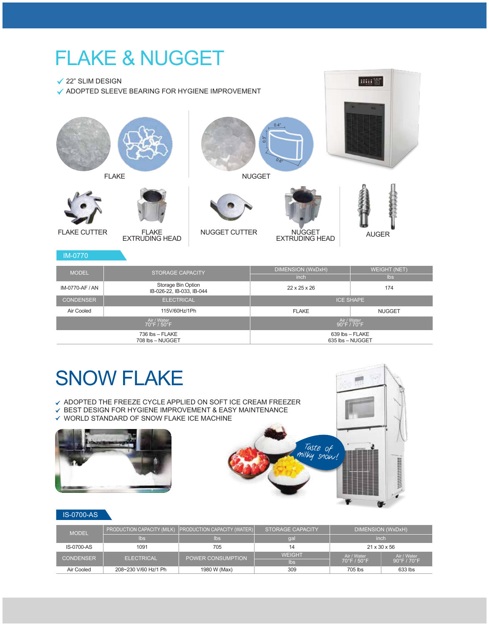### FLAKE & NUGGET

**√ 22" SLIM DESIGN** 

ADOPTED SLEEVE BEARING FOR HYGIENE IMPROVEMENT



| <b>MODEL</b>     | STORAGE CAPACITY                                | DIMENSION (WxDxH)        | <b>WEIGHT (NET)</b>                             |  |
|------------------|-------------------------------------------------|--------------------------|-------------------------------------------------|--|
|                  |                                                 | inch                     | lbs                                             |  |
| IM-0770-AF / AN  | Storage Bin Option<br>IB-026-22, IB-033, IB-044 | $22 \times 25 \times 26$ | 174                                             |  |
| <b>CONDENSER</b> | <b>ELECTRICAL</b>                               | <b>ICE SHAPE</b>         |                                                 |  |
| Air Cooled       | 115V/60Hz/1Ph                                   | <b>FLAKE</b>             | <b>NUGGET</b>                                   |  |
|                  | Air / Water<br>$70^{\circ}$ F / $50^{\circ}$ F  |                          | Air / Water<br>$90^{\circ}$ F / 70 $^{\circ}$ F |  |
|                  | $736$ lbs $-$ FLAKE<br>708 lbs - NUGGET         |                          | $639$ lbs $-$ FLAKE<br>635 lbs - NUGGET         |  |

### SNOW FLAKE

- $\checkmark$  ADOPTED THE FREEZE CYCLE APPLIED ON SOFT ICE CREAM FREEZER
- $\checkmark$  BEST DESIGN FOR HYGIENE IMPROVEMENT & EASY MAINTENANCE
- $\checkmark$  WORLD STANDARD OF SNOW FLAKE ICE MACHINE





and ST

#### IS-0700-AS

| <b>MODEL</b>      |                      | <b>PRODUCTION CAPACITY (MILK) PRODUCTION CAPACITY (WATER)</b> | STORAGE CAPACITY | DIMENSION (WxDxH)               |                                  |  |
|-------------------|----------------------|---------------------------------------------------------------|------------------|---------------------------------|----------------------------------|--|
|                   | <b>lbs</b>           | $\mathsf{lbs}$                                                | da               | inch                            |                                  |  |
| <b>IS-0700-AS</b> | 1091                 | 705                                                           |                  | $21 \times 30 \times 56$        |                                  |  |
| <b>CONDENSER</b>  | <b>ELECTRICAL</b>    | POWER CONSUMPTION                                             | <b>WEIGHT</b>    | Air / Water                     | Air / Water                      |  |
|                   |                      |                                                               | lbs              | $70^{\circ}$ F / $50^{\circ}$ F | $90^{\circ}$ F / 70 $^{\circ}$ F |  |
| Air Cooled        | 208~230 V/60 Hz/1 Ph | 1980 W (Max)                                                  | 309              | 705 lbs                         | 633 lbs                          |  |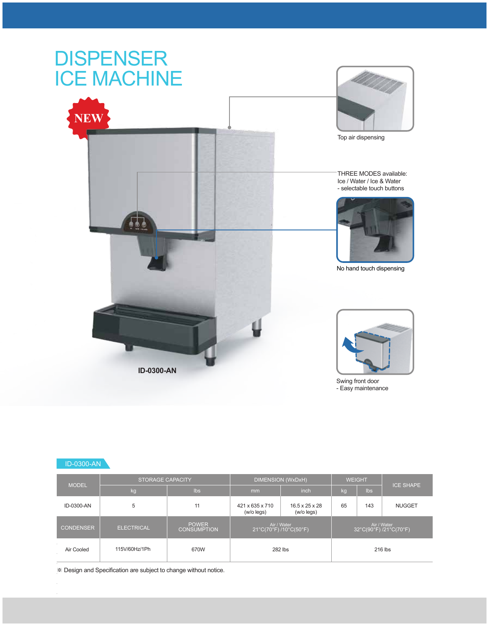

#### ID-0300-AN

| <b>MODEL</b>     | <b>STORAGE CAPACITY</b> |                                    | <b>DIMENSION (WxDxH)</b>                                                  | <b>WEIGHT</b> |    |     |                                      |
|------------------|-------------------------|------------------------------------|---------------------------------------------------------------------------|---------------|----|-----|--------------------------------------|
|                  | kg                      | Ibs                                | mm                                                                        | inch          | kg | lbs | <b>ICE SHAPE</b>                     |
| ID-0300-AN       | 5                       | 11                                 | 421 x 635 x 710<br>$16.5 \times 25 \times 28$<br>(w/o legs)<br>(w/o legs) |               | 65 | 143 | <b>NUGGET</b>                        |
| <b>CONDENSER</b> | <b>ELECTRICAL</b>       | <b>POWER</b><br><b>CONSUMPTION</b> | Air / Water<br>21°C(70°F)/10°C(50°F)                                      |               |    |     | Air / Water<br>32°C(90°F)/21°C(70°F) |
| Air Cooled       | 115V/60Hz/1Ph           | 670W                               | 282 lbs                                                                   |               |    |     | 216 lbs                              |

※ Design and Specification are subject to change without notice.